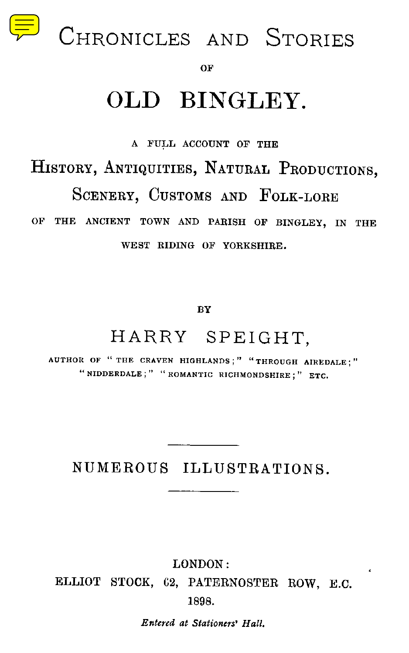

OF

# OLD BINGLEY.

A FULL ACCOUNT OF THE

HISTORY, ANTIQUITIES, NATURAL PRODUCTIONS,

SCENERY, CUSTOMS AND FOLK-LORE

OF THE ANCIENT TOWN AND PARISH OF BINGLEY, IN THE WEST RIDING OF YORKSHIRE.

BY

## HARRY SPEIGHT,

AUTHOR OF " THE CRAVEN HIGHLANDS ;" "THROUGH AIREDALE ; " "NIDDERDALE ;" "ROMANTIC RICHMONDSHIRE ; " ETC.

NUMEROUS ILLUSTRATIONS .

LONDON :

ELLIOT STOCK, 62, PATERNOSTER ROW, E.C. 1898 .

Entered at Stationers' Hall .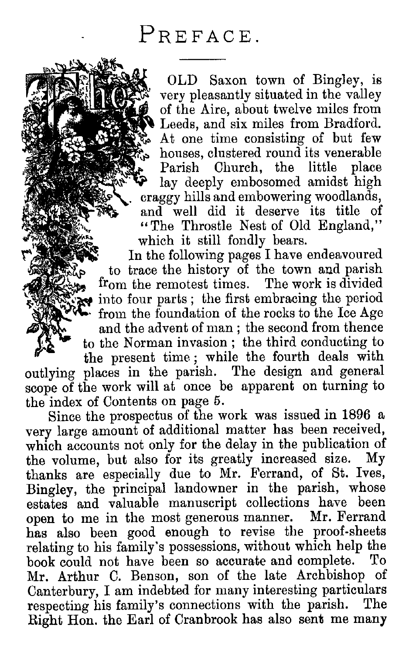4:^.,.

 

OLD Saxon town of Bingley, is very pleasantly situated in the valley of the Aire, about twelve miles from Leeds, and six miles from Bradford. At one time consisting of but few houses, clustered round its venerable Parish Church, the little place lay deeply embosomed amidst high craggy hills and embowering woodlands, and well did it deserve its title of "The Throstle Nest of Old England," which it still fondly bears. FREFACE.<br>
FREFACE.<br>
THE REPARE ON SAXON town of Bingley, is<br>
Your pleasantly situated in the valley<br>
of the Airc, about twive miles from<br>
Leeds, and six miles from Bradford.<br>
The Lincoln is venerable<br>
Parish Church, the li

In the following pages I have endeavoured -4, . , . to trace the history of the town and parish<br>from the remotest times. The work is divided  $\mathbb{R}$  $\bullet$  into four parts; the first embracing the period from the foundation of the rocks to the Ice Age and the advent of man ; the second from thence to the Norman invasion ; the third conducting to the present time ; while the fourth deals with outlying places in the parish. The design and general scope of the work will at once be apparent on turning to the index of Contents on page 5.

Since the prospectus of the work was issued in 1896 a very large amount of additional matter has been received, which accounts not only for the delay in the publication of the volume but also for its greatly increased size. My the volume, but also for its greatly increased size. thanks are especially due to Mr. Ferrand, of St. Ives, Bingley, the principal landowner in the parish, whose estates and valuable manuscript collections have been open to me in the most generous manner. Mr. Ferrand has also been good enough to revise the proof-sheets relating to his family's possessions, without which help the book could not have been so accurate and complete. Mr. Arthur C. Benson, son of the late Archbishop of Canterbury, I am indebted for many interesting particulars respecting his family's connections with the parish. The Right Hon. the Earl of Cranbrook has also sent me many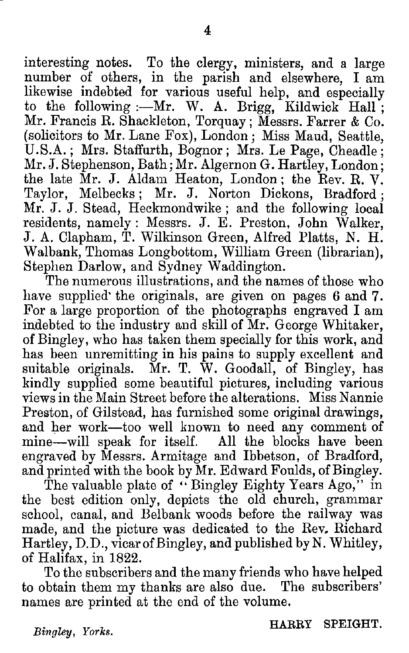interesting notes. To the clergy, ministers, and a large number of others, in the parish and elsewhere, I am likewise indebted for various useful help, and especially to the following :- Mr. W. A. Brigg, Kildwick Hall; Mr. Francis R. Shackleton, Torquay ; Messrs. Farrer & Co. (solicitors to Mr . Lane Fox), London ; Miss Maud, Seattle, U.S.A.; Mrs. Staffurth, Bognor; Mrs. Le Page, Cheadle: Mr. J. Stephenson, Bath; Mr. Algernon G. Hartley, London; the late Mr. J. Aldam Heaton, London; the Rev. R. V. Taylor, Melbecks ; Mr. J. Norton Dickons, Bradford ; Mr. J. J. Stead, Heckmondwike; and the following local residents, namely : Messrs. J. E. Preston, John Walker, J. A. Clapham, T. Wilkinson Green, Alfred Platts, N. H. Walbank, Thomas Longbottom, William Green (librarian), Stephen Darlow, and Sydney Waddington.

The numerous illustrations, and the names of those who have supplied the originals, are given on pages 6 and 7. For a large proportion of the photographs engraved I am indebted to the industry and skill of Mr. George Whitaker, of Bingley, who has taken them specially for this work, and has been unremitting in his pains to supply excellent and suitable originals. Mr. T. W. Goodall, of Bingley, has kindly supplied some beautiful pictures, including various views in the Main Street before the alterations. Miss Nannie Preston, of Gilstead, has furnished some original drawings, and her work-too well known to need any comment of mine—will speak for itself. All the blocks have been engraved by Messrs . Armitage and Ibbetson, of Bradford, and printed with the book by Mr. Edward Foulds, of Bingley.

The valuable plate of "Bingley Eighty Years Ago," in the best edition only, depicts the old church, grammar school, canal, and Belbank woods before the railway was made, and the picture was dedicated to the Rev, Richard Hartley, D.D., vicar of Bingley, and published by N. Whitley, of Halifax, in 1822 .

To the subscribers and the many friends who have helped to obtain them my thanks are also due. names are printed at the end of the volume.

Bingley, Yorks.

HARRY SPEIGHT.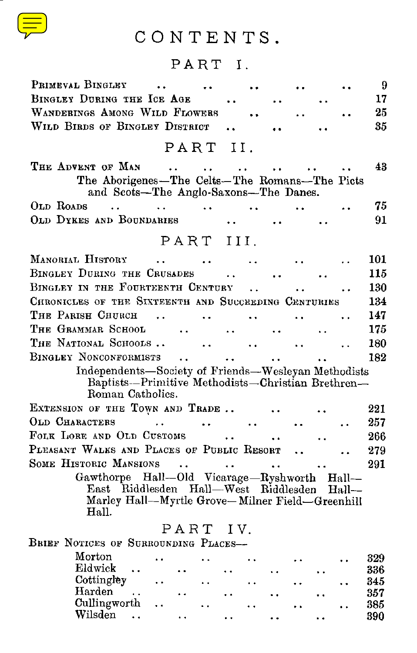

## CONTENTS .

#### PART I.

| CONTENTS.                                                                                                                                |            |
|------------------------------------------------------------------------------------------------------------------------------------------|------------|
| PART I.                                                                                                                                  |            |
| PRIMEVAL BINGLEY<br>$\ddot{\phantom{a}}$                                                                                                 | 9          |
| BINGLEY DURING THE ICE AGE                                                                                                               | 17         |
| WANDERINGS AMONG WILD FLOWERS                                                                                                            | 25         |
| WILD BIRDS OF BINGLEY DISTRICT                                                                                                           | 35         |
| PART<br>И.                                                                                                                               |            |
| THE ADVENT OF MAN                                                                                                                        | 43         |
| $\ddotsc$<br>$\ddotsc$<br>$\ddot{\phantom{0}}$<br>The Aborigenes-The Celts-The Romans-The Picts<br>and Scots-The Anglo-Saxons-The Danes. |            |
| OLD ROADS<br>$\ddot{\phantom{0}}$                                                                                                        | 75         |
| OLD DYKES AND BOUNDARIES                                                                                                                 | 91         |
| PART<br>III.                                                                                                                             |            |
|                                                                                                                                          |            |
| MANORIAL HISTORY<br>$\ddotsc$                                                                                                            | 101        |
| BINGLEY DURING THE CRUSADES                                                                                                              | 115        |
| BINGLEY IN THE FOURTEENTH CENTURY<br>$\ddot{\phantom{a}}$                                                                                | 130        |
| CHRONICLES OF THE SIXTEENTH AND SUCCEEDING CENTURIES                                                                                     | 134        |
| Тне Равіѕн Сниксн<br>$\ddot{\phantom{0}}$<br>$\ddot{\phantom{a}}$                                                                        | 147        |
| Тне Сваммав Ѕснооь<br>$\ddot{\phantom{1}}$<br>. .                                                                                        | 175        |
| THE NATIONAL SCHOOLS<br>$\ddot{\phantom{0}}$                                                                                             | 180        |
| BINGLEY NONCONFORMISTS<br>$\ddot{\phantom{a}}$                                                                                           | 182        |
| Independents-Society of Friends-Wesleyan Methodists<br>Baptists-Primitive Methodists-Christian Brethren-<br>Roman Catholics.             |            |
| EXTENSION OF THE TOWN AND TRADE                                                                                                          | 221        |
| OLD CHARACTERS<br>$\ddotsc$                                                                                                              | 257        |
| FOLK LORE AND OLD CUSTOMS                                                                                                                | 266        |
| PLEASANT WALKS AND PLACES OF PUBLIC RESORT                                                                                               | 279        |
| SOME HISTORIC MANSIONS<br>$\ddot{\phantom{a}}$<br>$\cdots$<br>. .                                                                        | 291        |
| Gawthorpe Hall--Old Vicarage-Ryshworth Hall--<br>East Riddlesden Hall-West Riddlesden Hall-                                              |            |
| Marley Hall--Myrtle Grove-Milner Field-Greenhill<br>Hall.                                                                                |            |
| PART<br>IV.                                                                                                                              |            |
| BRIEF NOTICES OF SURROUNDING PLACES-                                                                                                     |            |
| Morton<br>$\ddot{\phantom{a}}$                                                                                                           | 329        |
| Eldwick                                                                                                                                  | 336        |
| Cottingley<br>$\ddot{\phantom{0}}$<br>. .<br>Harden                                                                                      | 345<br>357 |
| Cullingworth<br>$\ddot{\phantom{0}}$                                                                                                     | 385        |
| $Wilsden$ $\ldots$                                                                                                                       | 390        |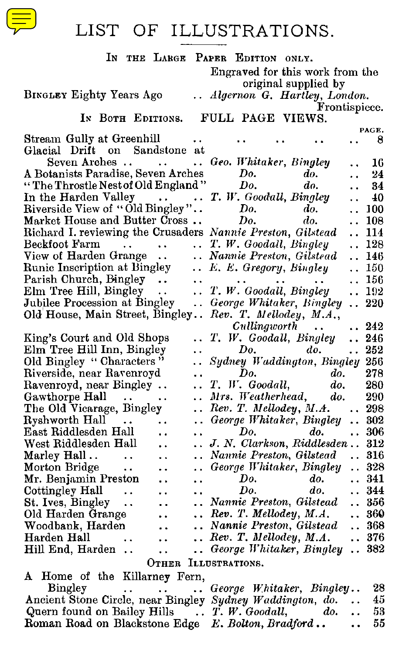

#### LIST OF ILLUSTRATIONS.

| LIST<br>ILLUSTRATIONS.<br>OF                                                                                                                      |                                                          |
|---------------------------------------------------------------------------------------------------------------------------------------------------|----------------------------------------------------------|
| IN THE LARGE PAPER EDITION ONLY.<br>Engraved for this work from the                                                                               |                                                          |
| original supplied by<br>BINGLEY Eighty Years Ago<br>Algernon G. Hartley, London.                                                                  |                                                          |
| IN BOTH EDITIONS.<br>FULL PAGE VIEWS.                                                                                                             | Frontispiece.                                            |
| Stream Gully at Greenhill<br>Glacial Drift on Sandstone at                                                                                        | PAGE.<br>-8                                              |
| Seven Arches<br>Geo. Whitaker, Bingley<br>$\ddotsc$<br>A Botanists Paradise, Seven Arches<br>Do.<br>do.                                           | 16                                                       |
| "The Throstle Nest of Old England"<br>Do.<br>do.                                                                                                  | 24<br>$\ddot{\phantom{0}}$<br>34<br>$\ddot{\phantom{0}}$ |
| T. W. Goodall, Bingley<br>In the Harden Valley<br>Riverside View of "Old Bingley"<br>Market House and Duty                                        | 40                                                       |
| Do.<br>do.<br>Market House and Butter Cross<br>Do.<br>do.                                                                                         | $\ldots$ 100<br>108                                      |
| Richard I. reviewing the Crusaders Nannie Preston, Gilstead                                                                                       | 114                                                      |
| Beckfoot Farm<br>T. W. Goodall, Bingley<br>$\sim 10^{-1}$<br>$\ddot{\phantom{0}}$                                                                 | 128<br>$\ddotsc$                                         |
| View of Harden Grange<br>Nannie Preston, Gilstead                                                                                                 | 146                                                      |
| Runic Inscription at Bingley<br>E. E. Gregory, Bingley<br>Parish Church, Bingley<br>$\bullet$ $\bullet$<br>$\ddot{\phantom{a}}$                   | ., 150<br>156                                            |
| T. W. Goodall, Bingley<br>Elm Tree Hill, Bingley<br>$\ddot{\phantom{0}}$                                                                          | 192<br>$\cdot$ .                                         |
| Jubilee Procession at Bingley<br>George Whitaker, Bingley<br>$\sim$<br>Old House, Main Street, Bingley<br>Rev. T. Mellodey, M.A.,                 | 220<br>$\ddot{\phantom{0}}$                              |
| Cullingworth<br>$\ddot{\phantom{a}}$                                                                                                              | 242<br>$\ddot{\phantom{0}}$                              |
| T. W. Goodall, Bingley<br>King's Court and Old Shops<br>. .                                                                                       | 246<br>252                                               |
| Elm Tree Hill Inn, Bingley<br>Do.<br>do.<br>Old Bingley "Characters"<br>Sydney Waddington, Bingley 256<br>. .                                     | $\ddotsc$                                                |
| Riverside, near Ravenroyd<br>Do.<br>do.<br>$\ddot{\phantom{0}}$                                                                                   | 278                                                      |
| T. W. Goodall,<br>Ravenroyd, near Bingley<br>do.<br>$\ddot{\phantom{a}}$                                                                          | 280                                                      |
| Gawthorpe Hall<br>Mrs. Weatherhead,<br>do.<br>$\ddot{\phantom{0}}$                                                                                | 290                                                      |
| Rev. T. Mellodey, M.A.<br>The Old Vicarage, Bingley<br>$\ddot{\phantom{a}}$<br>Ryshworth Hall<br>George Whitaker, Bingley<br>$\sim$ $\sim$<br>. . | $\ldots$ 298<br>302                                      |
| East Riddlesden Hall<br>Do.<br>do.<br>. .<br>$\ddot{\phantom{1}}$                                                                                 | $\ldots~306$                                             |
| J. N. Clarkson, Riddlesden  312<br>West Riddlesden Hall<br>. .                                                                                    |                                                          |
| Marley Hall<br>Nannie Preston, Gilstead<br>$\ddot{\phantom{0}}$<br>$\ddot{\phantom{1}}$                                                           | 316<br>$\ddotsc$                                         |
| George Whitaker, Bingley<br>Morton Bridge<br>$\ddot{\phantom{1}}$<br>$\ddot{\phantom{0}}$<br>Mr. Benjamin Preston<br>Do.<br>do.<br><br>$\ddotsc$  | 328<br>341                                               |
| Do.<br>Cottingley Hall<br>do.<br>$\ddot{\phantom{0}}$<br>$\ddot{\phantom{0}}$<br>$\ddot{\phantom{1}}$                                             | 344                                                      |
| St. Ives, Bingley<br>Nannie Preston, Gilstead<br>$\sim$<br>. .                                                                                    | 356                                                      |
| $\ldots$ Rev. T. Mellodey, M.A.<br>Old Harden Grange<br>                                                                                          | 360                                                      |
| Woodbank, Harden<br>Nannie Preston, Gilstead<br>$\ddot{\phantom{a}}$<br>$\ldots$ Rev. T. Mellodey, M.A.<br>Harden Hall<br>$\ddot{\phantom{0}}$    | 368<br>$\ddot{\phantom{0}}$<br>. 376                     |
| George Whitaker, Bingley 382.<br>Hill End, Harden<br>. .                                                                                          |                                                          |
| OTHER ILLUSTRATIONS.                                                                                                                              |                                                          |
| Home of the Killarney Fern,<br>A.                                                                                                                 |                                                          |

A Home of the Killarney Fern, Bingley . . George Whitaker, Bingley . . 28 Ancient Stone Circle, near Bingley Sydney Waddington, do. . . 45 Quern found on Bailey Hills . . T. W . Goodall, do. . . 53 Roman Road on Blackstone Edge E. Bolton, Bradford . . . . 55